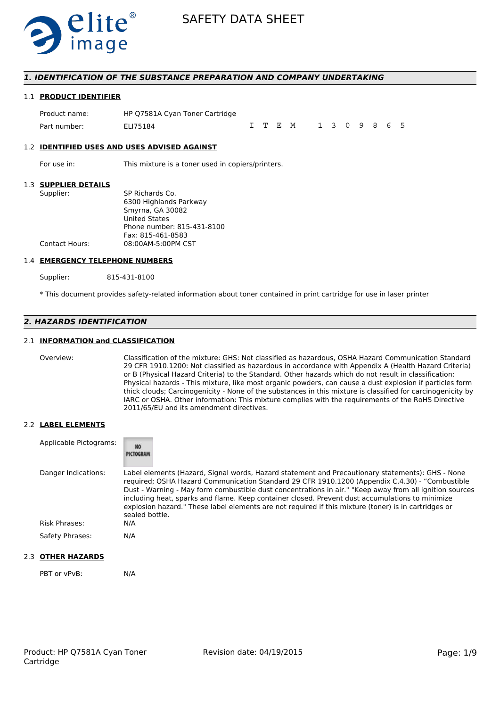

### *1. IDENTIFICATION OF THE SUBSTANCE PREPARATION AND COMPANY UNDERTAKING*

#### 1.1 **PRODUCT IDENTIFIER**

| Product name: | HP Q7581A Cyan Toner Cartridge |  |                       |  |  |  |  |
|---------------|--------------------------------|--|-----------------------|--|--|--|--|
| Part number:  | ELI75184                       |  | I T E M 1 3 0 9 8 6 5 |  |  |  |  |

#### 1.2 **IDENTIFIED USES AND USES ADVISED AGAINST**

For use in: This mixture is a toner used in copiers/printers.

#### 1.3 **SUPPLIER DETAILS**

| Supplier:      | SP Richards Co.            |
|----------------|----------------------------|
|                | 6300 Highlands Parkway     |
|                | Smyrna, GA 30082           |
|                | <b>United States</b>       |
|                | Phone number: 815-431-8100 |
|                | Fax: 815-461-8583          |
| Contact Hours: | 08:00AM-5:00PM CST         |
|                |                            |

#### 1.4 **EMERGENCY TELEPHONE NUMBERS**

Supplier: 815-431-8100

\* This document provides safety-related information about toner contained in print cartridge for use in laser printer

# *2. HAZARDS IDENTIFICATION*

### 2.1 **INFORMATION and CLASSIFICATION**

Overview: Classification of the mixture: GHS: Not classified as hazardous, OSHA Hazard Communication Standard 29 CFR 1910.1200: Not classified as hazardous in accordance with Appendix A (Health Hazard Criteria) or B (Physical Hazard Criteria) to the Standard. Other hazards which do not result in classification: Physical hazards - This mixture, like most organic powders, can cause a dust explosion if particles form thick clouds; Carcinogenicity - None of the substances in this mixture is classified for carcinogenicity by IARC or OSHA. Other information: This mixture complies with the requirements of the RoHS Directive 2011/65/EU and its amendment directives.

#### 2.2 **LABEL ELEMENTS**

| Applicable Pictograms: | <b>NO</b><br>PICTOGRAM                                                                                                                                                                                                                                                                                                                                                                                                                                                                                                                     |
|------------------------|--------------------------------------------------------------------------------------------------------------------------------------------------------------------------------------------------------------------------------------------------------------------------------------------------------------------------------------------------------------------------------------------------------------------------------------------------------------------------------------------------------------------------------------------|
| Danger Indications:    | Label elements (Hazard, Signal words, Hazard statement and Precautionary statements): GHS - None<br>required; OSHA Hazard Communication Standard 29 CFR 1910.1200 (Appendix C.4.30) - "Combustible<br>Dust - Warning - May form combustible dust concentrations in air." "Keep away from all ignition sources<br>including heat, sparks and flame. Keep container closed. Prevent dust accumulations to minimize<br>explosion hazard." These label elements are not required if this mixture (toner) is in cartridges or<br>sealed bottle. |
| Risk Phrases:          | N/A                                                                                                                                                                                                                                                                                                                                                                                                                                                                                                                                        |
| Safety Phrases:        | N/A                                                                                                                                                                                                                                                                                                                                                                                                                                                                                                                                        |

# 2.3 **OTHER HAZARDS**

PBT or vPvB: N/A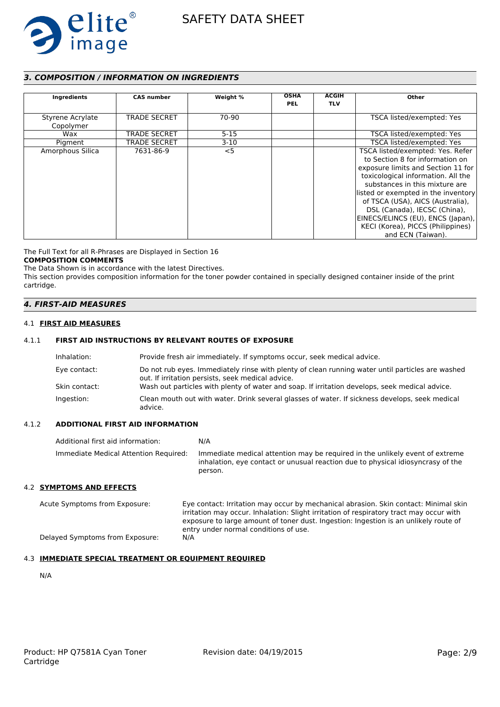

# *3. COMPOSITION / INFORMATION ON INGREDIENTS*

| Ingredients                   | <b>CAS number</b>   | Weight % | <b>OSHA</b><br><b>PEL</b> | <b>ACGIH</b><br><b>TLV</b> | Other                                                                                                                                                                                                                                                                                                                                                                                       |
|-------------------------------|---------------------|----------|---------------------------|----------------------------|---------------------------------------------------------------------------------------------------------------------------------------------------------------------------------------------------------------------------------------------------------------------------------------------------------------------------------------------------------------------------------------------|
| Styrene Acrylate<br>Copolymer | <b>TRADE SECRET</b> | 70-90    |                           |                            | TSCA listed/exempted: Yes                                                                                                                                                                                                                                                                                                                                                                   |
| Wax                           | <b>TRADE SECRET</b> | $5 - 15$ |                           |                            | TSCA listed/exempted: Yes                                                                                                                                                                                                                                                                                                                                                                   |
| Pigment                       | <b>TRADE SECRET</b> | $3-10$   |                           |                            | TSCA listed/exempted: Yes                                                                                                                                                                                                                                                                                                                                                                   |
| Amorphous Silica              | 7631-86-9           | $<$ 5    |                           |                            | TSCA listed/exempted: Yes. Refer<br>to Section 8 for information on<br>exposure limits and Section 11 for<br>toxicological information. All the<br>substances in this mixture are<br>listed or exempted in the inventory<br>of TSCA (USA), AICS (Australia),<br>DSL (Canada), IECSC (China),<br>EINECS/ELINCS (EU), ENCS (Japan),<br>KECI (Korea), PICCS (Philippines)<br>and ECN (Taiwan). |

The Full Text for all R-Phrases are Displayed in Section 16

# **COMPOSITION COMMENTS**

The Data Shown is in accordance with the latest Directives. This section provides composition information for the toner powder contained in specially designed container inside of the print cartridge.

### *4. FIRST-AID MEASURES*

#### 4.1 **FIRST AID MEASURES**

### 4.1.1 **FIRST AID INSTRUCTIONS BY RELEVANT ROUTES OF EXPOSURE**

| Inhalation:   | Provide fresh air immediately. If symptoms occur, seek medical advice.                                                                                |
|---------------|-------------------------------------------------------------------------------------------------------------------------------------------------------|
| Eye contact:  | Do not rub eyes. Immediately rinse with plenty of clean running water until particles are washed<br>out. If irritation persists, seek medical advice. |
| Skin contact: | Wash out particles with plenty of water and soap. If irritation develops, seek medical advice.                                                        |
| Ingestion:    | Clean mouth out with water. Drink several glasses of water. If sickness develops, seek medical<br>advice.                                             |

#### 4.1.2 **ADDITIONAL FIRST AID INFORMATION**

| Additional first aid information:     | N/A                                                                                                                                                                        |
|---------------------------------------|----------------------------------------------------------------------------------------------------------------------------------------------------------------------------|
| Immediate Medical Attention Required: | Immediate medical attention may be required in the unlikely event of extreme<br>inhalation, eye contact or unusual reaction due to physical idiosyncrasy of the<br>person. |

#### 4.2 **SYMPTOMS AND EFFECTS**

Acute Symptoms from Exposure: Eye contact: Irritation may occur by mechanical abrasion. Skin contact: Minimal skin irritation may occur. Inhalation: Slight irritation of respiratory tract may occur with exposure to large amount of toner dust. Ingestion: Ingestion is an unlikely route of entry under normal conditions of use. Delayed Symptoms from Exposure: N/A

### 4.3 **IMMEDIATE SPECIAL TREATMENT OR EQUIPMENT REQUIRED**

N/A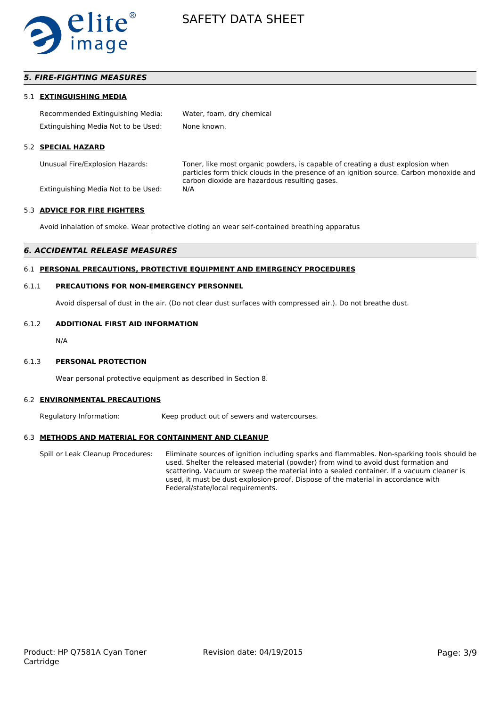

# *5. FIRE-FIGHTING MEASURES*

#### 5.1 **EXTINGUISHING MEDIA**

| Recommended Extinguishing Media:    | Water, foam, dry chemical |
|-------------------------------------|---------------------------|
| Extinguishing Media Not to be Used: | None known.               |

#### 5.2 **SPECIAL HAZARD**

Unusual Fire/Explosion Hazards: Toner, like most organic powders, is capable of creating a dust explosion when particles form thick clouds in the presence of an ignition source. Carbon monoxide and carbon dioxide are hazardous resulting gases.

Extinguishing Media Not to be Used: N/A

#### 5.3 **ADVICE FOR FIRE FIGHTERS**

Avoid inhalation of smoke. Wear protective cloting an wear self-contained breathing apparatus

### *6. ACCIDENTAL RELEASE MEASURES*

### 6.1 **PERSONAL PRECAUTIONS, PROTECTIVE EQUIPMENT AND EMERGENCY PROCEDURES**

#### 6.1.1 **PRECAUTIONS FOR NON-EMERGENCY PERSONNEL**

Avoid dispersal of dust in the air. (Do not clear dust surfaces with compressed air.). Do not breathe dust.

#### 6.1.2 **ADDITIONAL FIRST AID INFORMATION**

N/A

#### 6.1.3 **PERSONAL PROTECTION**

Wear personal protective equipment as described in Section 8.

#### 6.2 **ENVIRONMENTAL PRECAUTIONS**

Regulatory Information: Keep product out of sewers and watercourses.

#### 6.3 **METHODS AND MATERIAL FOR CONTAINMENT AND CLEANUP**

Spill or Leak Cleanup Procedures: Eliminate sources of ignition including sparks and flammables. Non-sparking tools should be used. Shelter the released material (powder) from wind to avoid dust formation and scattering. Vacuum or sweep the material into a sealed container. If a vacuum cleaner is used, it must be dust explosion-proof. Dispose of the material in accordance with Federal/state/local requirements.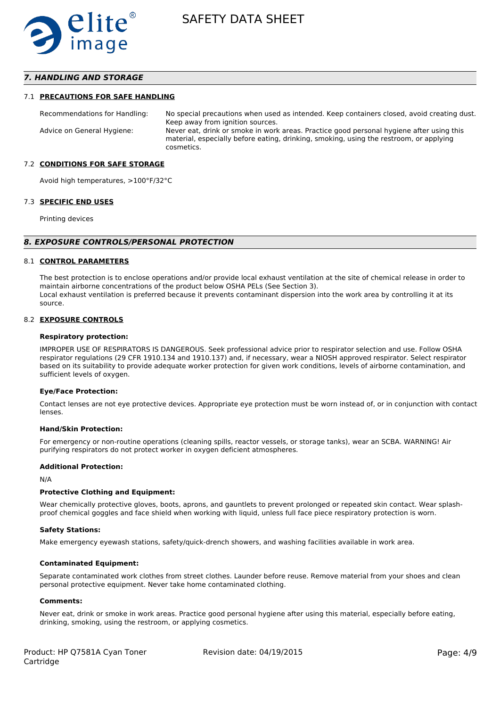

# *7. HANDLING AND STORAGE*

#### 7.1 **PRECAUTIONS FOR SAFE HANDLING**

Recommendations for Handling: No special precautions when used as intended. Keep containers closed, avoid creating dust. Keep away from ignition sources. Advice on General Hygiene: Never eat, drink or smoke in work areas. Practice good personal hygiene after using this material, especially before eating, drinking, smoking, using the restroom, or applying cosmetics.

#### 7.2 **CONDITIONS FOR SAFE STORAGE**

Avoid high temperatures, >100°F/32°C

#### 7.3 **SPECIFIC END USES**

Printing devices

#### *8. EXPOSURE CONTROLS/PERSONAL PROTECTION*

#### 8.1 **CONTROL PARAMETERS**

The best protection is to enclose operations and/or provide local exhaust ventilation at the site of chemical release in order to maintain airborne concentrations of the product below OSHA PELs (See Section 3). Local exhaust ventilation is preferred because it prevents contaminant dispersion into the work area by controlling it at its source.

#### 8.2 **EXPOSURE CONTROLS**

#### **Respiratory protection:**

IMPROPER USE OF RESPIRATORS IS DANGEROUS. Seek professional advice prior to respirator selection and use. Follow OSHA respirator regulations (29 CFR 1910.134 and 1910.137) and, if necessary, wear a NIOSH approved respirator. Select respirator based on its suitability to provide adequate worker protection for given work conditions, levels of airborne contamination, and sufficient levels of oxygen.

#### **Eye/Face Protection:**

Contact lenses are not eye protective devices. Appropriate eye protection must be worn instead of, or in conjunction with contact lenses.

#### **Hand/Skin Protection:**

For emergency or non-routine operations (cleaning spills, reactor vessels, or storage tanks), wear an SCBA. WARNING! Air purifying respirators do not protect worker in oxygen deficient atmospheres.

#### **Additional Protection:**

N/A

#### **Protective Clothing and Equipment:**

Wear chemically protective gloves, boots, aprons, and gauntlets to prevent prolonged or repeated skin contact. Wear splashproof chemical goggles and face shield when working with liquid, unless full face piece respiratory protection is worn.

#### **Safety Stations:**

Make emergency eyewash stations, safety/quick-drench showers, and washing facilities available in work area.

#### **Contaminated Equipment:**

Separate contaminated work clothes from street clothes. Launder before reuse. Remove material from your shoes and clean personal protective equipment. Never take home contaminated clothing.

#### **Comments:**

Never eat, drink or smoke in work areas. Practice good personal hygiene after using this material, especially before eating, drinking, smoking, using the restroom, or applying cosmetics.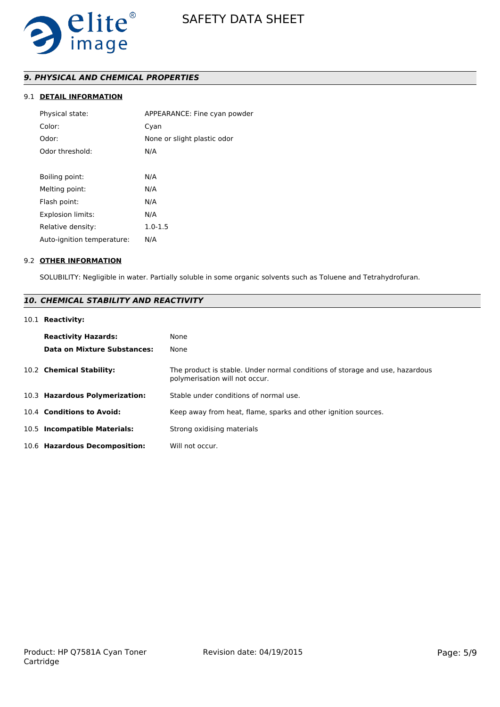

# *9. PHYSICAL AND CHEMICAL PROPERTIES*

# 9.1 **DETAIL INFORMATION**

| Physical state:            | APPEARANCE: Fine cyan powder |
|----------------------------|------------------------------|
| Color:                     | Cyan                         |
| Odor:                      | None or slight plastic odor  |
| Odor threshold:            | N/A                          |
|                            |                              |
| Boiling point:             | N/A                          |
| Melting point:             | N/A                          |
| Flash point:               | N/A                          |
| <b>Explosion limits:</b>   | N/A                          |
| Relative density:          | $1.0 - 1.5$                  |
| Auto-ignition temperature: | N/A                          |
|                            |                              |

### 9.2 **OTHER INFORMATION**

SOLUBILITY: Negligible in water. Partially soluble in some organic solvents such as Toluene and Tetrahydrofuran.

# *10. CHEMICAL STABILITY AND REACTIVITY*

# 10.1 **Reactivity:**

| <b>Reactivity Hazards:</b><br><b>Data on Mixture Substances:</b> | None<br>None                                                                                                   |
|------------------------------------------------------------------|----------------------------------------------------------------------------------------------------------------|
| 10.2 Chemical Stability:                                         | The product is stable. Under normal conditions of storage and use, hazardous<br>polymerisation will not occur. |
| 10.3 Hazardous Polymerization:                                   | Stable under conditions of normal use.                                                                         |
| 10.4 Conditions to Avoid:                                        | Keep away from heat, flame, sparks and other ignition sources.                                                 |
| 10.5 Incompatible Materials:                                     | Strong oxidising materials                                                                                     |
| 10.6 Hazardous Decomposition:                                    | Will not occur.                                                                                                |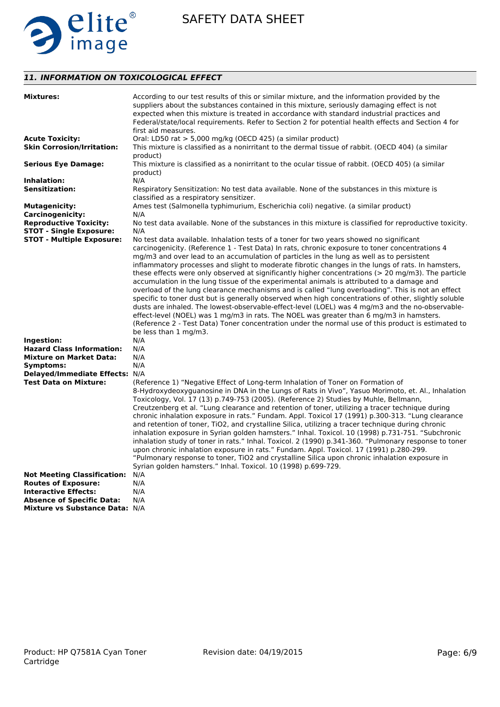

# *11. INFORMATION ON TOXICOLOGICAL EFFECT*

| <b>Mixtures:</b>                                                                                                                                                                                      | According to our test results of this or similar mixture, and the information provided by the<br>suppliers about the substances contained in this mixture, seriously damaging effect is not                                                                                                                                                                                                                                                                                                                                                                                                                                                                                                                                                                                                                                                                                                                                                                                                                                                                                                                                                                         |
|-------------------------------------------------------------------------------------------------------------------------------------------------------------------------------------------------------|---------------------------------------------------------------------------------------------------------------------------------------------------------------------------------------------------------------------------------------------------------------------------------------------------------------------------------------------------------------------------------------------------------------------------------------------------------------------------------------------------------------------------------------------------------------------------------------------------------------------------------------------------------------------------------------------------------------------------------------------------------------------------------------------------------------------------------------------------------------------------------------------------------------------------------------------------------------------------------------------------------------------------------------------------------------------------------------------------------------------------------------------------------------------|
|                                                                                                                                                                                                       | expected when this mixture is treated in accordance with standard industrial practices and<br>Federal/state/local requirements. Refer to Section 2 for potential health effects and Section 4 for<br>first aid measures.                                                                                                                                                                                                                                                                                                                                                                                                                                                                                                                                                                                                                                                                                                                                                                                                                                                                                                                                            |
| <b>Acute Toxicity:</b>                                                                                                                                                                                | Oral: LD50 rat $> 5,000$ mg/kg (OECD 425) (a similar product)                                                                                                                                                                                                                                                                                                                                                                                                                                                                                                                                                                                                                                                                                                                                                                                                                                                                                                                                                                                                                                                                                                       |
| <b>Skin Corrosion/Irritation:</b>                                                                                                                                                                     | This mixture is classified as a nonirritant to the dermal tissue of rabbit. (OECD 404) (a similar<br>product)                                                                                                                                                                                                                                                                                                                                                                                                                                                                                                                                                                                                                                                                                                                                                                                                                                                                                                                                                                                                                                                       |
| <b>Serious Eye Damage:</b>                                                                                                                                                                            | This mixture is classified as a nonirritant to the ocular tissue of rabbit. (OECD 405) (a similar<br>product)                                                                                                                                                                                                                                                                                                                                                                                                                                                                                                                                                                                                                                                                                                                                                                                                                                                                                                                                                                                                                                                       |
| Inhalation:                                                                                                                                                                                           | N/A                                                                                                                                                                                                                                                                                                                                                                                                                                                                                                                                                                                                                                                                                                                                                                                                                                                                                                                                                                                                                                                                                                                                                                 |
| <b>Sensitization:</b>                                                                                                                                                                                 | Respiratory Sensitization: No test data available. None of the substances in this mixture is<br>classified as a respiratory sensitizer.                                                                                                                                                                                                                                                                                                                                                                                                                                                                                                                                                                                                                                                                                                                                                                                                                                                                                                                                                                                                                             |
| <b>Mutagenicity:</b>                                                                                                                                                                                  | Ames test (Salmonella typhimurium, Escherichia coli) negative. (a similar product)                                                                                                                                                                                                                                                                                                                                                                                                                                                                                                                                                                                                                                                                                                                                                                                                                                                                                                                                                                                                                                                                                  |
| <b>Carcinogenicity:</b>                                                                                                                                                                               | N/A                                                                                                                                                                                                                                                                                                                                                                                                                                                                                                                                                                                                                                                                                                                                                                                                                                                                                                                                                                                                                                                                                                                                                                 |
| <b>Reproductive Toxicity:</b><br><b>STOT - Single Exposure:</b>                                                                                                                                       | No test data available. None of the substances in this mixture is classified for reproductive toxicity.<br>N/A                                                                                                                                                                                                                                                                                                                                                                                                                                                                                                                                                                                                                                                                                                                                                                                                                                                                                                                                                                                                                                                      |
| <b>STOT - Multiple Exposure:</b><br>Ingestion:<br><b>Hazard Class Information:</b><br><b>Mixture on Market Data:</b><br>Symptoms:                                                                     | No test data available. Inhalation tests of a toner for two years showed no significant<br>carcinogenicity. (Reference 1 - Test Data) In rats, chronic exposure to toner concentrations 4<br>mg/m3 and over lead to an accumulation of particles in the lung as well as to persistent<br>inflammatory processes and slight to moderate fibrotic changes in the lungs of rats. In hamsters,<br>these effects were only observed at significantly higher concentrations (> 20 mg/m3). The particle<br>accumulation in the lung tissue of the experimental animals is attributed to a damage and<br>overload of the lung clearance mechanisms and is called "lung overloading". This is not an effect<br>specific to toner dust but is generally observed when high concentrations of other, slightly soluble<br>dusts are inhaled. The lowest-observable-effect-level (LOEL) was 4 mg/m3 and the no-observable-<br>effect-level (NOEL) was 1 mg/m3 in rats. The NOEL was greater than 6 mg/m3 in hamsters.<br>(Reference 2 - Test Data) Toner concentration under the normal use of this product is estimated to<br>be less than 1 mg/m3.<br>N/A<br>N/A<br>N/A<br>N/A |
| Delayed/Immediate Effects: N/A<br><b>Test Data on Mixture:</b><br><b>Not Meeting Classification:</b><br><b>Routes of Exposure:</b><br><b>Interactive Effects:</b><br><b>Absence of Specific Data:</b> | (Reference 1) "Negative Effect of Long-term Inhalation of Toner on Formation of<br>8-Hydroxydeoxyguanosine in DNA in the Lungs of Rats in Vivo", Yasuo Morimoto, et. Al., Inhalation<br>Toxicology, Vol. 17 (13) p.749-753 (2005). (Reference 2) Studies by Muhle, Bellmann,<br>Creutzenberg et al. "Lung clearance and retention of toner, utilizing a tracer technique during<br>chronic inhalation exposure in rats." Fundam. Appl. Toxicol 17 (1991) p.300-313. "Lung clearance<br>and retention of toner, TiO2, and crystalline Silica, utilizing a tracer technique during chronic<br>inhalation exposure in Syrian golden hamsters." Inhal. Toxicol. 10 (1998) p.731-751. "Subchronic<br>inhalation study of toner in rats." Inhal. Toxicol. 2 (1990) p.341-360. "Pulmonary response to toner<br>upon chronic inhalation exposure in rats." Fundam. Appl. Toxicol. 17 (1991) p.280-299.<br>"Pulmonary response to toner, TiO2 and crystalline Silica upon chronic inhalation exposure in<br>Syrian golden hamsters." Inhal. Toxicol. 10 (1998) p.699-729.<br>N/A<br>N/A<br>N/A<br>N/A                                                                        |
| Mixture vs Substance Data: N/A                                                                                                                                                                        |                                                                                                                                                                                                                                                                                                                                                                                                                                                                                                                                                                                                                                                                                                                                                                                                                                                                                                                                                                                                                                                                                                                                                                     |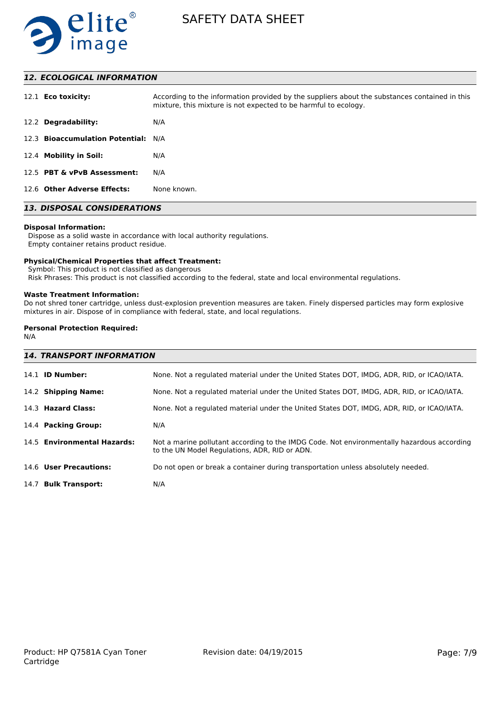

# *12. ECOLOGICAL INFORMATION*

| 12.1 <b>Eco toxicity:</b>           | According to the information provided by the suppliers about the substances contained in this<br>mixture, this mixture is not expected to be harmful to ecology. |
|-------------------------------------|------------------------------------------------------------------------------------------------------------------------------------------------------------------|
| 12.2 Degradability:                 | N/A                                                                                                                                                              |
| 12.3 Bioaccumulation Potential: N/A |                                                                                                                                                                  |
| 12.4 Mobility in Soil:              | N/A                                                                                                                                                              |
| 12.5 PBT & vPvB Assessment:         | N/A                                                                                                                                                              |
| 12.6 Other Adverse Effects:         | None known.                                                                                                                                                      |

# *13. DISPOSAL CONSIDERATIONS*

#### **Disposal Information:**

 Dispose as a solid waste in accordance with local authority regulations. Empty container retains product residue.

#### **Physical/Chemical Properties that affect Treatment:**

Symbol: This product is not classified as dangerous

Risk Phrases: This product is not classified according to the federal, state and local environmental regulations.

#### **Waste Treatment Information:**

Do not shred toner cartridge, unless dust-explosion prevention measures are taken. Finely dispersed particles may form explosive mixtures in air. Dispose of in compliance with federal, state, and local regulations.

# **Personal Protection Required:**

N/A

| <b>14. TRANSPORT INFORMATION</b> |                                                                                                                                             |
|----------------------------------|---------------------------------------------------------------------------------------------------------------------------------------------|
| 14.1 <b>ID Number:</b>           | None. Not a regulated material under the United States DOT, IMDG, ADR, RID, or ICAO/IATA.                                                   |
| 14.2 Shipping Name:              | None. Not a regulated material under the United States DOT, IMDG, ADR, RID, or ICAO/IATA.                                                   |
| 14.3 Hazard Class:               | None. Not a regulated material under the United States DOT, IMDG, ADR, RID, or ICAO/IATA.                                                   |
| 14.4 Packing Group:              | N/A                                                                                                                                         |
| 14.5 Environmental Hazards:      | Not a marine pollutant according to the IMDG Code. Not environmentally hazardous according<br>to the UN Model Regulations, ADR, RID or ADN. |
| 14.6 User Precautions:           | Do not open or break a container during transportation unless absolutely needed.                                                            |
| 14.7 Bulk Transport:             | N/A                                                                                                                                         |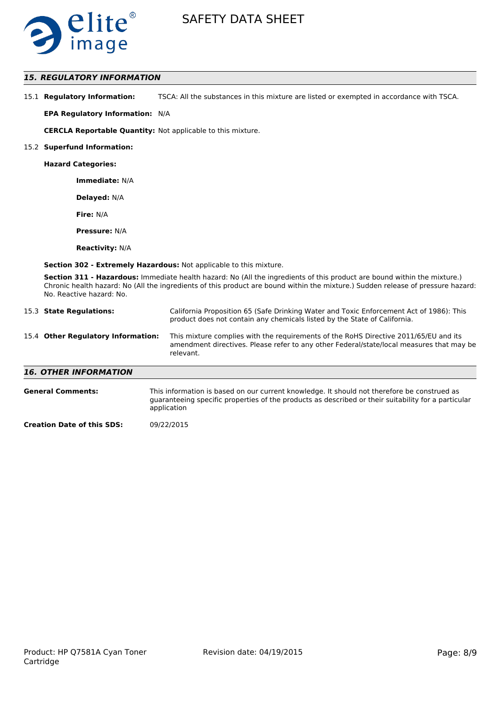

# *15. REGULATORY INFORMATION*

| 15.1 Regulatory Information: | TSCA: All the substances in this mixture are listed or exempted in accordance with TSCA. |
|------------------------------|------------------------------------------------------------------------------------------|
|------------------------------|------------------------------------------------------------------------------------------|

**EPA Regulatory Information:** N/A

**CERCLA Reportable Quantity:** Not applicable to this mixture.

#### 15.2 **Superfund Information:**

**Hazard Categories:**

**Immediate:** N/A

**Delayed:** N/A

**Fire:** N/A

**Pressure:** N/A

**Reactivity:** N/A

**Section 302 - Extremely Hazardous:** Not applicable to this mixture.

**Section 311 - Hazardous:** Immediate health hazard: No (All the ingredients of this product are bound within the mixture.) Chronic health hazard: No (All the ingredients of this product are bound within the mixture.) Sudden release of pressure hazard: No. Reactive hazard: No.

|                              | 15.3 State Regulations:            | California Proposition 65 (Safe Drinking Water and Toxic Enforcement Act of 1986): This<br>product does not contain any chemicals listed by the State of California.                                                                                                                                                         |
|------------------------------|------------------------------------|------------------------------------------------------------------------------------------------------------------------------------------------------------------------------------------------------------------------------------------------------------------------------------------------------------------------------|
|                              | 15.4 Other Regulatory Information: | This mixture complies with the requirements of the RoHS Directive 2011/65/EU and its<br>amendment directives. Please refer to any other Federal/state/local measures that may be<br>relevant.                                                                                                                                |
| <b>16. OTHER INFORMATION</b> |                                    |                                                                                                                                                                                                                                                                                                                              |
|                              | <b>General Comments:</b>           | This information is based on our current knowledge. It should not therefore be construed as<br>and a complete compared the component of a state of the complete of the set of the compared of the composite of the set of the set of the set of the set of the set of the set of the set of the set of the set of the set of |

guaranteeing specific properties of the products as described or their suitability for a particular application

**Creation Date of this SDS:** 09/22/2015